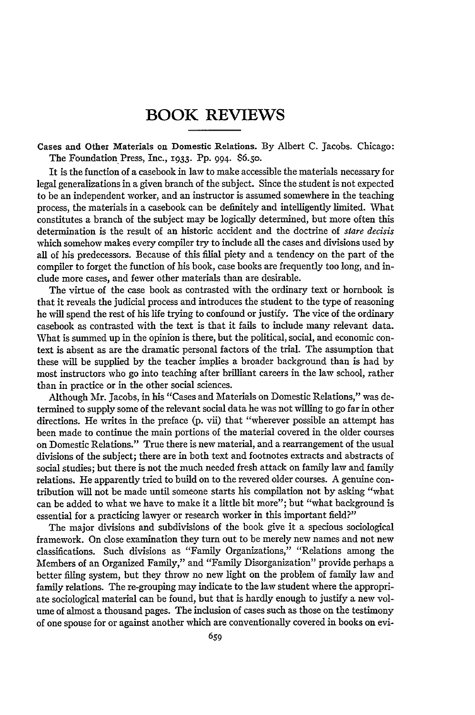## BOOK REVIEWS

Cases and Other Materials on Domestic Relations. **By** Albert **C.** Jacobs. Chicago: The Foundation Press, Inc., **1933.** PP. 994. S6.5o.

It is the function of a casebook in law to make accessible the materials necessary for legal generalizations in a given branch of the subject. Since the student is not expected to be an independent worker, and an instructor is assumed somewhere in the teaching process, the materials in a casebook can be definitely and intelligently limited. What constitutes a branch of the subject may be logically determined, but more often this determination is the result of an historic accident and the doctrine of *stare decisis* which somehow makes every compiler try to include all the cases and divisions used by all of his predecessors. Because of this filial piety and a tendency on the part of the compiler to forget the function of his book, case books are frequently too long, and indude more cases, and fewer other materials than are desirable.

The virtue of the case book as contrasted with the ordinary text or hornbook is that it reveals the judicial process and introduces the student to the type of reasoning he will spend the rest of his life trying to confound or justify. The vice of the ordinary casebook as contrasted with the text is that it fails to include many relevant data. What is summed up in the opinion is there, but the political, social, and economic context is absent as are the dramatic personal factors of the trial. The assumption that these will be supplied by the teacher implies a broader background than is had by most instructors who go into teaching after brilliant careers in the law school, rather than in practice or in the other social sciences.

Although Mr. Jacobs, in his "Cases and Materials on Domestic Relations," was determined to supply some of the relevant social data he was not willing to go far in other directions. He writes in the preface (p. vii) that "wherever possible an attempt has been made to continue the main portions of the material covered in the older courses on Domestic Relations." True there is new material, and a rearrangement of the usual divisions of the subject; there are in both text and footnotes extracts and abstracts of social studies; but there is not the much needed fresh attack on family law and family relations. He apparently tried to build on to the revered older courses. A genuine contribution will not be made until someone starts his compilation not by asking "what can be added to what we have to make it a little bit more"; but "what background is essential for a practicing lawyer or research worker in this important field?"

The major divisions and subdivisions of the book give it a specious sociological framework. On close examination they turn out to be merely new names and not new classifications. Such divisions as "Family Organizations," "Relations among the Members of an Organized Family," and "Family Disorganization" provide perhaps a better filing system, but they throw no new light on the problem of family law and family relations. The re-grouping may indicate to the law student where the appropriate sociological material can be found, but that is hardly enough to justify a new volume of almost a thousand pages. The inclusion of cases such as those on the testimony of one spouse for or against another which are conventionally covered in books on evi